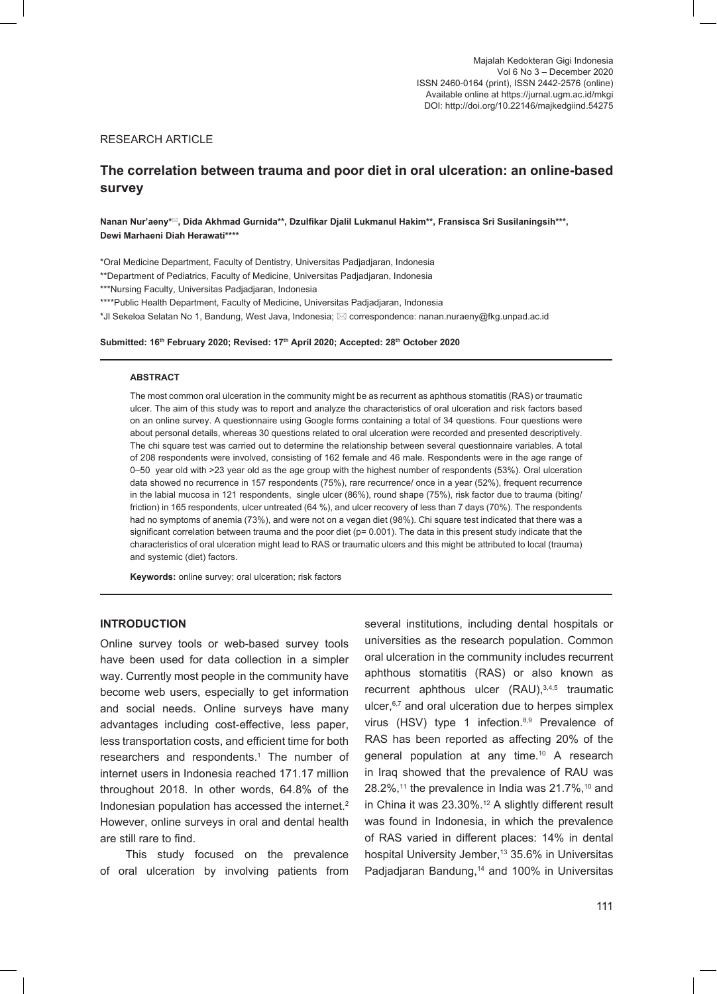### RESEARCH ARTICLE

# **The correlation between trauma and poor diet in oral ulceration: an online-based survey**

**Nanan Nur'aeny\*, Dida Akhmad Gurnida\*\*, Dzulfikar Djalil Lukmanul Hakim\*\*, Fransisca Sri Susilaningsih\*\*\*, Dewi Marhaeni Diah Herawati\*\*\*\***

\*Oral Medicine Department, Faculty of Dentistry, Universitas Padjadjaran, Indonesia \*\*Department of Pediatrics, Faculty of Medicine, Universitas Padjadjaran, Indonesia

\*\*\*Nursing Faculty, Universitas Padjadjaran, Indonesia

\*\*\*\*Public Health Department, Faculty of Medicine, Universitas Padjadjaran, Indonesia

 $^*$ Jl Sekeloa Selatan No 1, Bandung, West Java, Indonesia;  $\boxtimes$  correspondence: nanan.nuraeny@fkg.unpad.ac.id

**Submitted: 16th February 2020; Revised: 17th April 2020; Accepted: 28th October 2020**

#### **ABSTRACT**

The most common oral ulceration in the community might be as recurrent as aphthous stomatitis (RAS) or traumatic ulcer. The aim of this study was to report and analyze the characteristics of oral ulceration and risk factors based on an online survey. A questionnaire using Google forms containing a total of 34 questions. Four questions were about personal details, whereas 30 questions related to oral ulceration were recorded and presented descriptively. The chi square test was carried out to determine the relationship between several questionnaire variables. A total of 208 respondents were involved, consisting of 162 female and 46 male. Respondents were in the age range of 0–50 year old with >23 year old as the age group with the highest number of respondents (53%). Oral ulceration data showed no recurrence in 157 respondents (75%), rare recurrence/ once in a year (52%), frequent recurrence in the labial mucosa in 121 respondents, single ulcer (86%), round shape (75%), risk factor due to trauma (biting/ friction) in 165 respondents, ulcer untreated (64 %), and ulcer recovery of less than 7 days (70%). The respondents had no symptoms of anemia (73%), and were not on a vegan diet (98%). Chi square test indicated that there was a significant correlation between trauma and the poor diet ( $p= 0.001$ ). The data in this present study indicate that the characteristics of oral ulceration might lead to RAS or traumatic ulcers and this might be attributed to local (trauma) and systemic (diet) factors.

**Keywords:** online survey; oral ulceration; risk factors

# **INTRODUCTION**

Online survey tools or web-based survey tools have been used for data collection in a simpler way. Currently most people in the community have become web users, especially to get information and social needs. Online surveys have many advantages including cost-effective, less paper, less transportation costs, and efficient time for both researchers and respondents.<sup>1</sup> The number of internet users in Indonesia reached 171.17 million throughout 2018. In other words, 64.8% of the Indonesian population has accessed the internet.<sup>2</sup> However, online surveys in oral and dental health are still rare to find.

This study focused on the prevalence of oral ulceration by involving patients from

several institutions, including dental hospitals or universities as the research population. Common oral ulceration in the community includes recurrent aphthous stomatitis (RAS) or also known as recurrent aphthous ulcer (RAU),<sup>3,4,5</sup> traumatic ulcer, $6,7$  and oral ulceration due to herpes simplex virus (HSV) type 1 infection.<sup>8,9</sup> Prevalence of RAS has been reported as affecting 20% of the general population at any time.<sup>10</sup> A research in Iraq showed that the prevalence of RAU was 28.2%,<sup>11</sup> the prevalence in India was 21.7%,<sup>10</sup> and in China it was 23.30%.<sup>12</sup> A slightly different result was found in Indonesia, in which the prevalence of RAS varied in different places: 14% in dental hospital University Jember,<sup>13</sup> 35.6% in Universitas Padjadjaran Bandung,14 and 100% in Universitas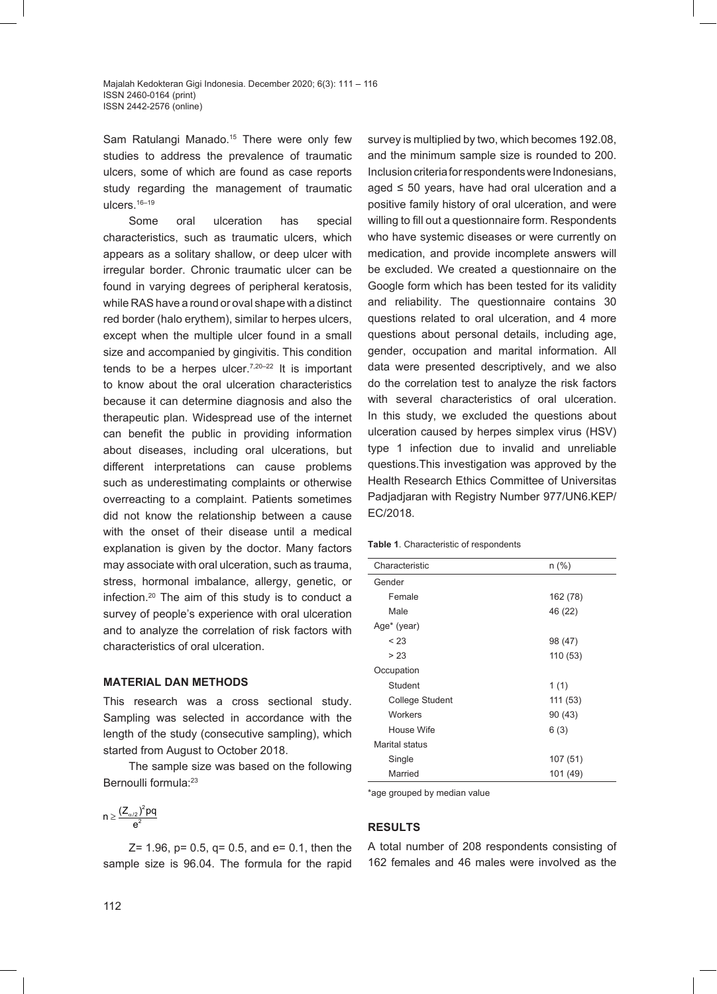Sam Ratulangi Manado.<sup>15</sup> There were only few studies to address the prevalence of traumatic ulcers, some of which are found as case reports study regarding the management of traumatic ulcers.<sup>16-19</sup>

Some oral ulceration has special characteristics, such as traumatic ulcers, which appears as a solitary shallow, or deep ulcer with irregular border. Chronic traumatic ulcer can be found in varying degrees of peripheral keratosis, while RAS have a round or oval shape with a distinct red border (halo erythem), similar to herpes ulcers, except when the multiple ulcer found in a small size and accompanied by gingivitis. This condition tends to be a herpes ulcer. $7,20-22$  It is important to know about the oral ulceration characteristics because it can determine diagnosis and also the therapeutic plan. Widespread use of the internet can benefit the public in providing information about diseases, including oral ulcerations, but different interpretations can cause problems such as underestimating complaints or otherwise overreacting to a complaint. Patients sometimes did not know the relationship between a cause with the onset of their disease until a medical explanation is given by the doctor. Many factors may associate with oral ulceration, such as trauma, stress, hormonal imbalance, allergy, genetic, or infection.20 The aim of this study is to conduct a survey of people's experience with oral ulceration and to analyze the correlation of risk factors with characteristics of oral ulceration.

### **MATERIAL DAN METHODS**

This research was a cross sectional study. Sampling was selected in accordance with the length of the study (consecutive sampling), which started from August to October 2018.

The sample size was based on the following Bernoulli formula:<sup>23</sup>

$$
n\geq \frac{\big(Z_{\alpha/2}\big)^2pq}{e^2}
$$

 $Z= 1.96$ ,  $p= 0.5$ ,  $q= 0.5$ , and  $e= 0.1$ , then the sample size is 96.04. The formula for the rapid

survey is multiplied by two, which becomes 192.08, and the minimum sample size is rounded to 200. Inclusion criteria for respondents were Indonesians, aged  $\leq$  50 years, have had oral ulceration and a positive family history of oral ulceration, and were willing to fill out a questionnaire form. Respondents who have systemic diseases or were currently on medication, and provide incomplete answers will be excluded. We created a questionnaire on the Google form which has been tested for its validity and reliability. The questionnaire contains 30 questions related to oral ulceration, and 4 more questions about personal details, including age, gender, occupation and marital information. All data were presented descriptively, and we also do the correlation test to analyze the risk factors with several characteristics of oral ulceration. In this study, we excluded the questions about ulceration caused by herpes simplex virus (HSV) type 1 infection due to invalid and unreliable questions.This investigation was approved by the Health Research Ethics Committee of Universitas Padjadjaran with Registry Number 977/UN6.KEP/ EC/2018.

#### **Table 1**. Characteristic of respondents

| Characteristic  | $n$ (%)  |
|-----------------|----------|
| Gender          |          |
| Female          | 162 (78) |
| Male            | 46 (22)  |
| Age* (year)     |          |
| < 23            | 98 (47)  |
| > 23            | 110 (53) |
| Occupation      |          |
| Student         | 1(1)     |
| College Student | 111 (53) |
| Workers         | 90(43)   |
| House Wife      | 6(3)     |
| Marital status  |          |
| Single          | 107 (51) |
| Married         | 101 (49) |

\*age grouped by median value

### **RESULTS**

A total number of 208 respondents consisting of 162 females and 46 males were involved as the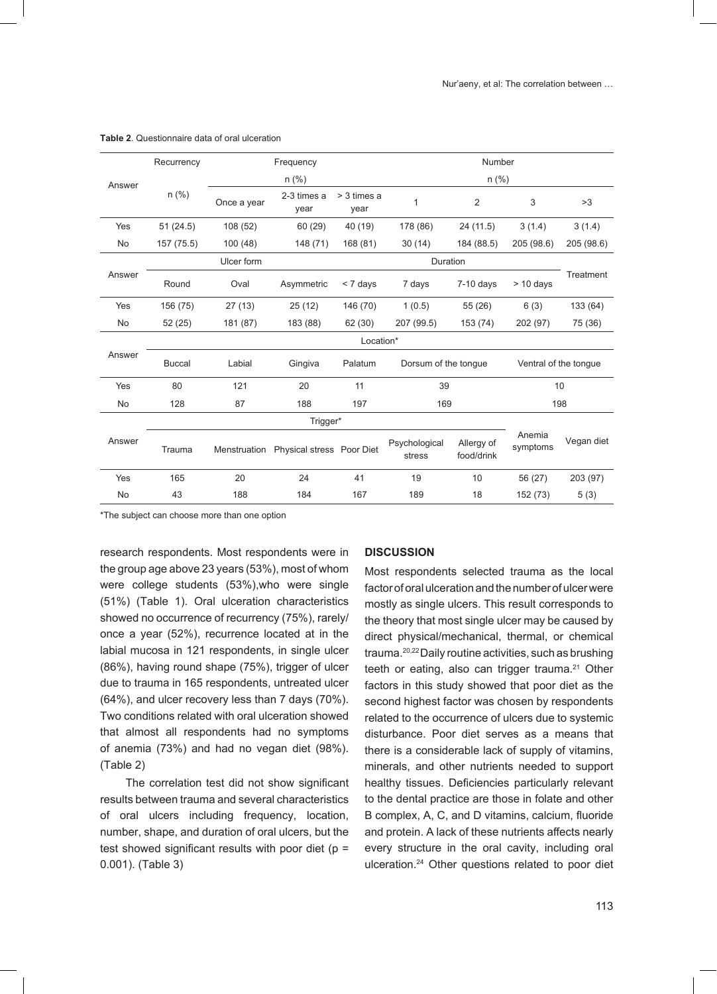|           | Recurrency    | Frequency   |                                        |                     | Number                  |                          |                       |            |
|-----------|---------------|-------------|----------------------------------------|---------------------|-------------------------|--------------------------|-----------------------|------------|
| Answer    |               | $n$ (%)     |                                        |                     | $n$ (%)                 |                          |                       |            |
|           | $n$ (%)       | Once a year | 2-3 times a<br>year                    | > 3 times a<br>year | 1                       | $\overline{2}$           | 3                     | >3         |
| Yes       | 51(24.5)      | 108 (52)    | 60 (29)                                | 40 (19)             | 178 (86)                | 24 (11.5)                | 3(1.4)                | 3(1.4)     |
| No        | 157 (75.5)    | 100 (48)    | 148 (71)                               | 168 (81)            | 30(14)                  | 184 (88.5)               | 205 (98.6)            | 205 (98.6) |
| Answer    |               | Ulcer form  |                                        |                     | Duration                |                          |                       |            |
|           | Round         | Oval        | Asymmetric                             | < 7 days            | 7 days                  | $7-10$ days              | $> 10$ days           | Treatment  |
| Yes       | 156 (75)      | 27(13)      | 25(12)                                 | 146 (70)            | 1(0.5)                  | 55(26)                   | 6(3)                  | 133 (64)   |
| No        | 52(25)        | 181 (87)    | 183 (88)                               | 62 (30)             | 207 (99.5)              | 153 (74)                 | 202 (97)              | 75 (36)    |
| Answer    | Location*     |             |                                        |                     |                         |                          |                       |            |
|           | <b>Buccal</b> | Labial      | Gingiva                                | Palatum             | Dorsum of the tonque    |                          | Ventral of the tongue |            |
| Yes       | 80            | 121         | 20                                     | 11                  | 39                      |                          |                       | 10         |
| No        | 128           | 87          | 188                                    | 197                 | 169                     |                          |                       | 198        |
|           | Trigger*      |             |                                        |                     |                         |                          |                       |            |
| Answer    | Trauma        |             | Menstruation Physical stress Poor Diet |                     | Psychological<br>stress | Allergy of<br>food/drink | Anemia<br>symptoms    | Vegan diet |
| Yes       | 165           | 20          | 24                                     | 41                  | 19                      | 10                       | 56 (27)               | 203 (97)   |
| <b>No</b> | 43            | 188         | 184                                    | 167                 | 189                     | 18                       | 152 (73)              | 5(3)       |

#### **Table 2**. Questionnaire data of oral ulceration

\*The subject can choose more than one option

research respondents. Most respondents were in the group age above 23 years (53%), most of whom were college students (53%),who were single (51%) (Table 1). Oral ulceration characteristics showed no occurrence of recurrency (75%), rarely/ once a year (52%), recurrence located at in the labial mucosa in 121 respondents, in single ulcer (86%), having round shape (75%), trigger of ulcer due to trauma in 165 respondents, untreated ulcer (64%), and ulcer recovery less than 7 days (70%). Two conditions related with oral ulceration showed that almost all respondents had no symptoms of anemia (73%) and had no vegan diet (98%). (Table 2)

The correlation test did not show significant results between trauma and several characteristics of oral ulcers including frequency, location, number, shape, and duration of oral ulcers, but the test showed significant results with poor diet ( $p =$ 0.001). (Table 3)

#### **DISCUSSION**

Most respondents selected trauma as the local factor of oral ulceration and the number of ulcer were mostly as single ulcers. This result corresponds to the theory that most single ulcer may be caused by direct physical/mechanical, thermal, or chemical trauma.20,22 Daily routine activities, such as brushing teeth or eating, also can trigger trauma.<sup>21</sup> Other factors in this study showed that poor diet as the second highest factor was chosen by respondents related to the occurrence of ulcers due to systemic disturbance. Poor diet serves as a means that there is a considerable lack of supply of vitamins, minerals, and other nutrients needed to support healthy tissues. Deficiencies particularly relevant to the dental practice are those in folate and other B complex, A, C, and D vitamins, calcium, fluoride and protein. A lack of these nutrients affects nearly every structure in the oral cavity, including oral ulceration.24 Other questions related to poor diet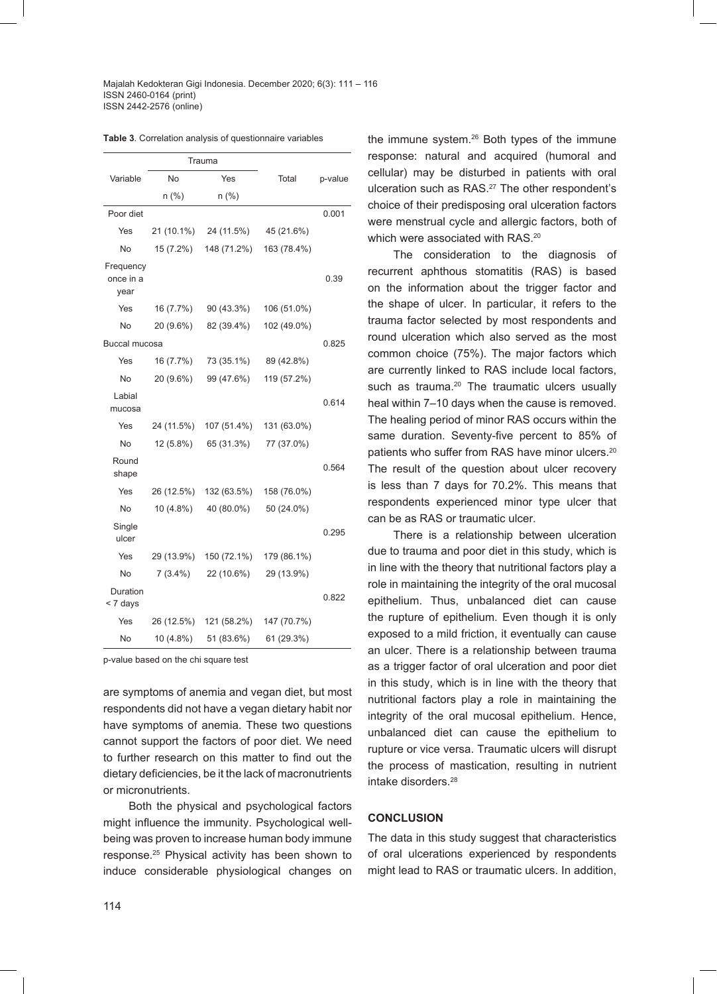Majalah Kedokteran Gigi Indonesia. December 2020; 6(3): 111 – 116 ISSN 2460-0164 (print) ISSN 2442-2576 (online)

|  |  |  | <b>Table 3.</b> Correlation analysis of questionnaire variables |  |
|--|--|--|-----------------------------------------------------------------|--|
|--|--|--|-----------------------------------------------------------------|--|

|                                |            | Trauma      |             |         |
|--------------------------------|------------|-------------|-------------|---------|
| Variable                       | No         | Yes         | Total       | p-value |
|                                | n (%)      | n(%)        |             |         |
| Poor diet                      |            |             |             | 0.001   |
| Yes                            | 21 (10.1%) | 24 (11.5%)  | 45 (21.6%)  |         |
| No                             | 15 (7.2%)  | 148 (71.2%) | 163 (78.4%) |         |
| Frequency<br>once in a<br>year |            |             |             | 0.39    |
| Yes                            | 16 (7.7%)  | 90 (43.3%)  | 106 (51.0%) |         |
| No                             | 20 (9.6%)  | 82 (39.4%)  | 102 (49.0%) |         |
| Buccal mucosa                  |            |             |             | 0.825   |
| Yes                            | 16 (7.7%)  | 73 (35.1%)  | 89 (42.8%)  |         |
| No                             | 20 (9.6%)  | 99 (47.6%)  | 119 (57.2%) |         |
| Labial<br>mucosa               |            |             |             | 0.614   |
| Yes                            | 24 (11.5%) | 107 (51.4%) | 131 (63.0%) |         |
| No                             | 12 (5.8%)  | 65 (31.3%)  | 77 (37.0%)  |         |
| Round<br>shape                 |            |             |             | 0.564   |
| Yes                            | 26 (12.5%) | 132 (63.5%) | 158 (76.0%) |         |
| No                             | 10 (4.8%)  | 40 (80.0%)  | 50 (24.0%)  |         |
| Single<br>ulcer                |            |             |             | 0.295   |
| Yes                            | 29 (13.9%) | 150 (72.1%) | 179 (86.1%) |         |
| No                             | $7(3.4\%)$ | 22 (10.6%)  | 29 (13.9%)  |         |
| Duration<br>< 7 days           |            |             |             | 0.822   |
| Yes                            | 26 (12.5%) | 121 (58.2%) | 147 (70.7%) |         |
| No                             | 10 (4.8%)  | 51 (83.6%)  | 61 (29.3%)  |         |

p-value based on the chi square test

are symptoms of anemia and vegan diet, but most respondents did not have a vegan dietary habit nor have symptoms of anemia. These two questions cannot support the factors of poor diet. We need to further research on this matter to find out the dietary deficiencies, be it the lack of macronutrients or micronutrients.

Both the physical and psychological factors might influence the immunity. Psychological wellbeing was proven to increase human body immune response.25 Physical activity has been shown to induce considerable physiological changes on

the immune system.26 Both types of the immune response: natural and acquired (humoral and cellular) may be disturbed in patients with oral ulceration such as RAS.<sup>27</sup> The other respondent's choice of their predisposing oral ulceration factors were menstrual cycle and allergic factors, both of which were associated with RAS.<sup>20</sup>

The consideration to the diagnosis of recurrent aphthous stomatitis (RAS) is based on the information about the trigger factor and the shape of ulcer. In particular, it refers to the trauma factor selected by most respondents and round ulceration which also served as the most common choice (75%). The major factors which are currently linked to RAS include local factors, such as trauma.<sup>20</sup> The traumatic ulcers usually heal within 7–10 days when the cause is removed. The healing period of minor RAS occurs within the same duration. Seventy-five percent to 85% of patients who suffer from RAS have minor ulcers.<sup>20</sup> The result of the question about ulcer recovery is less than 7 days for 70.2%. This means that respondents experienced minor type ulcer that can be as RAS or traumatic ulcer.

There is a relationship between ulceration due to trauma and poor diet in this study, which is in line with the theory that nutritional factors play a role in maintaining the integrity of the oral mucosal epithelium. Thus, unbalanced diet can cause the rupture of epithelium. Even though it is only exposed to a mild friction, it eventually can cause an ulcer. There is a relationship between trauma as a trigger factor of oral ulceration and poor diet in this study, which is in line with the theory that nutritional factors play a role in maintaining the integrity of the oral mucosal epithelium. Hence, unbalanced diet can cause the epithelium to rupture or vice versa. Traumatic ulcers will disrupt the process of mastication, resulting in nutrient intake disorders.28

#### **CONCLUSION**

The data in this study suggest that characteristics of oral ulcerations experienced by respondents might lead to RAS or traumatic ulcers. In addition,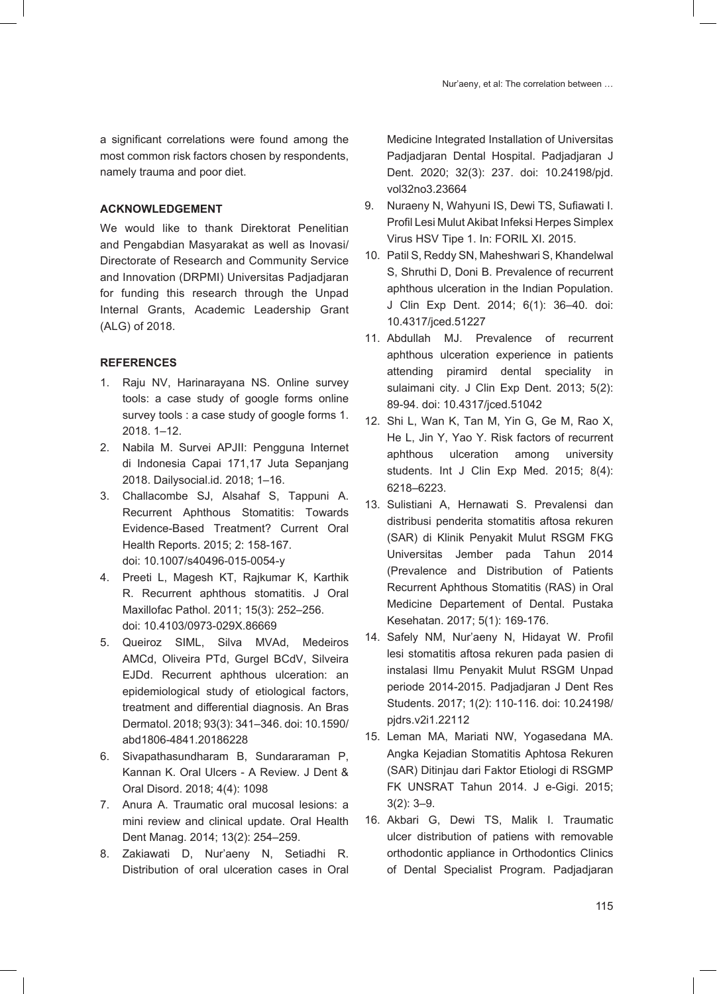a significant correlations were found among the most common risk factors chosen by respondents, namely trauma and poor diet.

# **ACKNOWLEDGEMENT**

We would like to thank Direktorat Penelitian and Pengabdian Masyarakat as well as Inovasi/ Directorate of Research and Community Service and Innovation (DRPMI) Universitas Padjadjaran for funding this research through the Unpad Internal Grants, Academic Leadership Grant (ALG) of 2018.

# **REFERENCES**

- 1. Raju NV, Harinarayana NS. Online survey tools: a case study of google forms online survey tools : a case study of google forms 1. 2018. 1–12.
- 2. Nabila M. Survei APJII: Pengguna Internet di Indonesia Capai 171,17 Juta Sepanjang 2018. Dailysocial.id. 2018; 1–16.
- 3. Challacombe SJ, Alsahaf S, Tappuni A. Recurrent Aphthous Stomatitis: Towards Evidence-Based Treatment? Current Oral Health Reports. 2015; 2: 158-167. doi: 10.1007/s40496-015-0054-y
- 4. Preeti L, Magesh KT, Rajkumar K, Karthik R. Recurrent aphthous stomatitis. J Oral Maxillofac Pathol. 2011; 15(3): 252–256. doi: 10.4103/0973-029X.86669
- 5. Queiroz SIML, Silva MVAd, Medeiros AMCd, Oliveira PTd, Gurgel BCdV, Silveira EJDd. Recurrent aphthous ulceration: an epidemiological study of etiological factors, treatment and differential diagnosis. An Bras Dermatol. 2018; 93(3): 341–346. doi: 10.1590/ abd1806-4841.20186228
- 6. Sivapathasundharam B, Sundararaman P, Kannan K. Oral Ulcers - A Review. J Dent & Oral Disord. 2018; 4(4): 1098
- 7. Anura A. Traumatic oral mucosal lesions: a mini review and clinical update. Oral Health Dent Manag. 2014; 13(2): 254–259.
- 8. Zakiawati D, Nur'aeny N, Setiadhi R. Distribution of oral ulceration cases in Oral

Medicine Integrated Installation of Universitas Padjadjaran Dental Hospital. Padjadjaran J Dent. 2020; 32(3): 237. doi: 10.24198/pjd. vol32no3.23664

- 9. Nuraeny N, Wahyuni IS, Dewi TS, Sufiawati I. Profil Lesi Mulut Akibat Infeksi Herpes Simplex Virus HSV Tipe 1. In: FORIL XI. 2015.
- 10. Patil S, Reddy SN, Maheshwari S, Khandelwal S, Shruthi D, Doni B. Prevalence of recurrent aphthous ulceration in the Indian Population. J Clin Exp Dent. 2014; 6(1): 36–40. doi: 10.4317/jced.51227
- 11. Abdullah MJ. Prevalence of recurrent aphthous ulceration experience in patients attending piramird dental speciality in sulaimani city. J Clin Exp Dent. 2013; 5(2): 89-94. doi: 10.4317/jced.51042
- 12. Shi L, Wan K, Tan M, Yin G, Ge M, Rao X, He L, Jin Y, Yao Y. Risk factors of recurrent aphthous ulceration among university students. Int J Clin Exp Med. 2015; 8(4): 6218–6223.
- 13. Sulistiani A, Hernawati S. Prevalensi dan distribusi penderita stomatitis aftosa rekuren (SAR) di Klinik Penyakit Mulut RSGM FKG Universitas Jember pada Tahun 2014 (Prevalence and Distribution of Patients Recurrent Aphthous Stomatitis (RAS) in Oral Medicine Departement of Dental. Pustaka Kesehatan. 2017; 5(1): 169-176.
- 14. Safely NM, Nur'aeny N, Hidayat W. Profil lesi stomatitis aftosa rekuren pada pasien di instalasi Ilmu Penyakit Mulut RSGM Unpad periode 2014-2015. Padjadjaran J Dent Res Students. 2017; 1(2): 110-116. doi: 10.24198/ pjdrs.v2i1.22112
- 15. Leman MA, Mariati NW, Yogasedana MA. Angka Kejadian Stomatitis Aphtosa Rekuren (SAR) Ditinjau dari Faktor Etiologi di RSGMP FK UNSRAT Tahun 2014. J e-Gigi. 2015; 3(2): 3–9.
- 16. Akbari G, Dewi TS, Malik I. Traumatic ulcer distribution of patiens with removable orthodontic appliance in Orthodontics Clinics of Dental Specialist Program. Padjadjaran